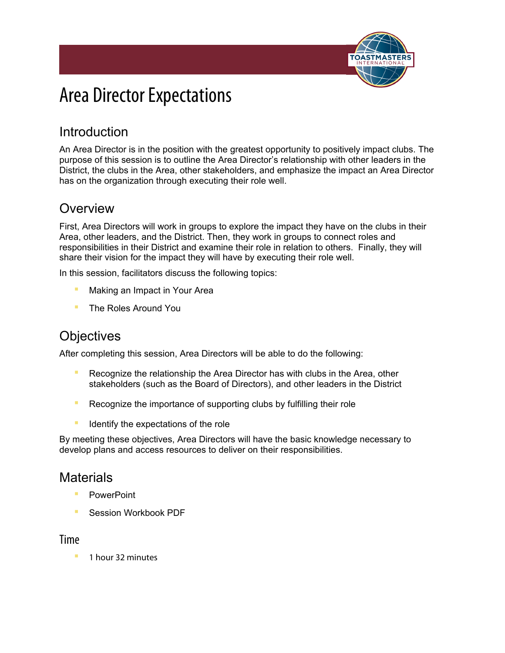

# Area Director Expectations

# Introduction

An Area Director is in the position with the greatest opportunity to positively impact clubs. The purpose of this session is to outline the Area Director's relationship with other leaders in the District, the clubs in the Area, other stakeholders, and emphasize the impact an Area Director has on the organization through executing their role well.

# **Overview**

First, Area Directors will work in groups to explore the impact they have on the clubs in their Area, other leaders, and the District. Then, they work in groups to connect roles and responsibilities in their District and examine their role in relation to others. Finally, they will share their vision for the impact they will have by executing their role well.

In this session, facilitators discuss the following topics:

- Making an Impact in Your Area
- The Roles Around You

## **Objectives**

After completing this session, Area Directors will be able to do the following:

- **E** Recognize the relationship the Area Director has with clubs in the Area, other stakeholders (such as the Board of Directors), and other leaders in the District
- Recognize the importance of supporting clubs by fulfilling their role
- **EXPLORED IDENT** Identify the expectations of the role

By meeting these objectives, Area Directors will have the basic knowledge necessary to develop plans and access resources to deliver on their responsibilities.

## **Materials**

- **PowerPoint**
- Session Workbook PDF

#### Time

1 hour 32 minutes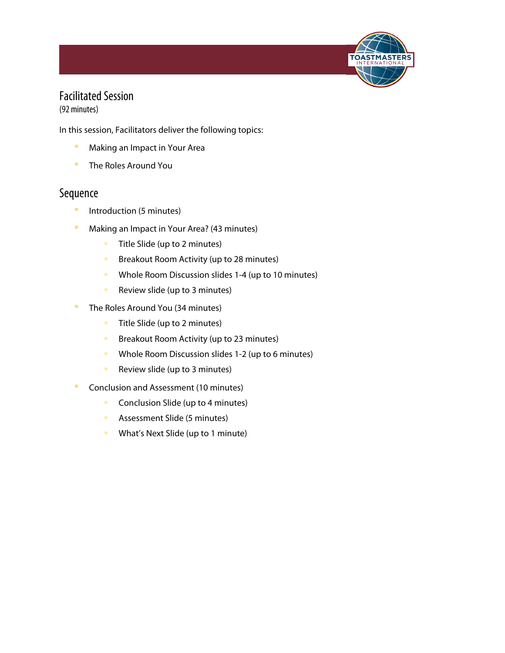

## Facilitated Session

(92 minutes)

In this session, Facilitators deliver the following topics:

- **■** Making an Impact in Your Area
- **The Roles Around You**

#### Sequence

- Introduction (5 minutes)
- **E** Making an Impact in Your Area? (43 minutes)
	- **Title Slide (up to 2 minutes)**
	- **Breakout Room Activity (up to 28 minutes)**
	- **Whole Room Discussion slides 1-4 (up to 10 minutes)**
	- **Review slide (up to 3 minutes)**
- The Roles Around You (34 minutes)
	- **Title Slide (up to 2 minutes)**
	- **Breakout Room Activity (up to 23 minutes)**
	- **Whole Room Discussion slides 1-2 (up to 6 minutes)**
	- Review slide (up to 3 minutes)
- Conclusion and Assessment (10 minutes)
	- **Conclusion Slide (up to 4 minutes)**
	- **Assessment Slide (5 minutes)**
	- **What's Next Slide (up to 1 minute)**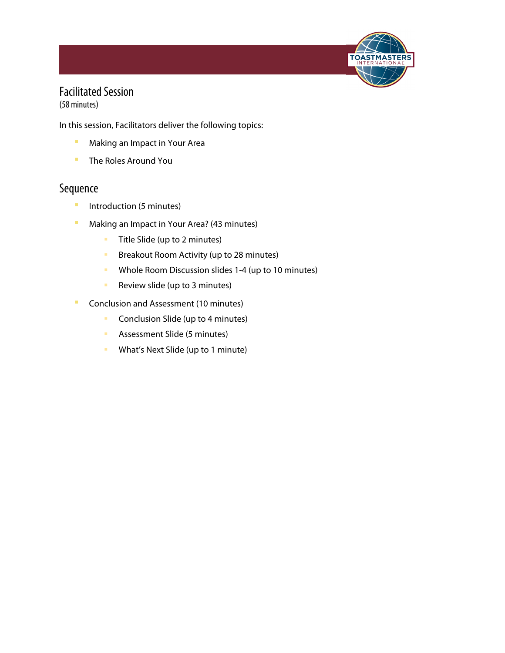

# Facilitated Session

(58 minutes)

In this session, Facilitators deliver the following topics:

- **■** Making an Impact in Your Area
- The Roles Around You

#### Sequence

- **·** Introduction (5 minutes)
- Making an Impact in Your Area? (43 minutes)
	- **Title Slide (up to 2 minutes)**
	- **Breakout Room Activity (up to 28 minutes)**
	- **Whole Room Discussion slides 1-4 (up to 10 minutes)**
	- **Review slide (up to 3 minutes)**
- **Conclusion and Assessment (10 minutes)** 
	- **Conclusion Slide (up to 4 minutes)**
	- **Assessment Slide (5 minutes)**
	- **What's Next Slide (up to 1 minute)**